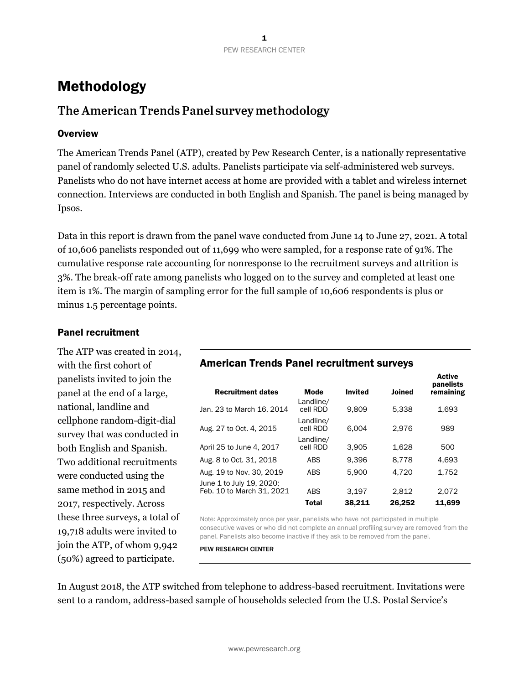# Methodology

## The American Trends Panel survey methodology

### **Overview**

The American Trends Panel (ATP), created by Pew Research Center, is a nationally representative panel of randomly selected U.S. adults. Panelists participate via self-administered web surveys. Panelists who do not have internet access at home are provided with a tablet and wireless internet connection. Interviews are conducted in both English and Spanish. The panel is being managed by Ipsos.

Data in this report is drawn from the panel wave conducted from June 14 to June 27, 2021. A total of 10,606 panelists responded out of 11,699 who were sampled, for a response rate of 91%. The cumulative response rate accounting for nonresponse to the recruitment surveys and attrition is 3%. The break-off rate among panelists who logged on to the survey and completed at least one item is 1%. The margin of sampling error for the full sample of 10,606 respondents is plus or minus 1.5 percentage points.

### Panel recruitment

The ATP was created in 2014, with the first cohort of panelists invited to join the panel at the end of a large, national, landline and cellphone random-digit-dial survey that was conducted in both English and Spanish. Two additional recruitments were conducted using the same method in 2015 and 2017, respectively. Across these three surveys, a total of 19,718 adults were invited to join the ATP, of whom 9,942 (50%) agreed to participate.

# American Trends Panel recruitment surveys

| <b>Recruitment dates</b>                              | <b>Mode</b>           | <b>Invited</b> | <b>Joined</b> | <b>Active</b><br>panelists<br>remaining |
|-------------------------------------------------------|-----------------------|----------------|---------------|-----------------------------------------|
| Jan. 23 to March 16, 2014                             | Landline/<br>cell RDD | 9.809          | 5.338         | 1,693                                   |
| Aug. 27 to Oct. 4, 2015                               | Landline/<br>cell RDD | 6.004          | 2.976         | 989                                     |
| April 25 to June 4, 2017                              | Landline/<br>cell RDD | 3.905          | 1.628         | 500                                     |
| Aug. 8 to Oct. 31, 2018                               | <b>ABS</b>            | 9.396          | 8.778         | 4,693                                   |
| Aug. 19 to Nov. 30, 2019                              | <b>ABS</b>            | 5.900          | 4.720         | 1.752                                   |
| June 1 to July 19, 2020;<br>Feb. 10 to March 31, 2021 | <b>ABS</b>            | 3.197          | 2.812         | 2.072                                   |
|                                                       | <b>Total</b>          | 38,211         | 26,252        | 11,699                                  |

Note: Approximately once per year, panelists who have not participated in multiple consecutive waves or who did not complete an annual profiling survey are removed from the panel. Panelists also become inactive if they ask to be removed from the panel.

PEW RESEARCH CENTER

In August 2018, the ATP switched from telephone to address-based recruitment. Invitations were sent to a random, address-based sample of households selected from the U.S. Postal Service's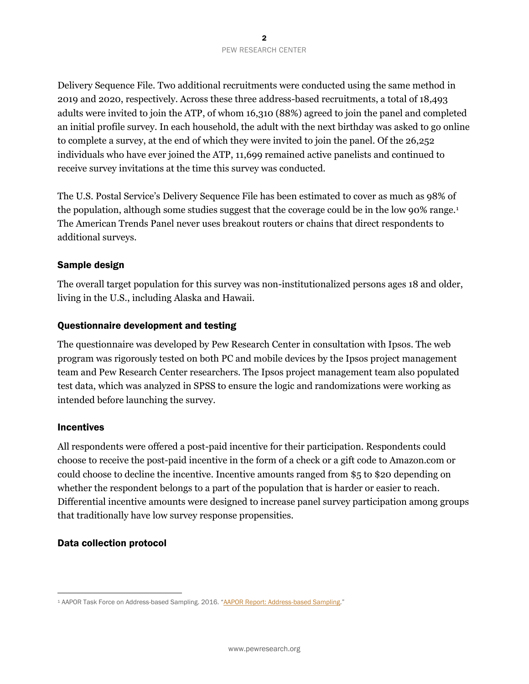Delivery Sequence File. Two additional recruitments were conducted using the same method in 2019 and 2020, respectively. Across these three address-based recruitments, a total of 18,493 adults were invited to join the ATP, of whom 16,310 (88%) agreed to join the panel and completed an initial profile survey. In each household, the adult with the next birthday was asked to go online to complete a survey, at the end of which they were invited to join the panel. Of the 26,252 individuals who have ever joined the ATP, 11,699 remained active panelists and continued to receive survey invitations at the time this survey was conducted.

The U.S. Postal Service's Delivery Sequence File has been estimated to cover as much as 98% of the population, although some studies suggest that the coverage could be in the low 90% range.<sup>1</sup> The American Trends Panel never uses breakout routers or chains that direct respondents to additional surveys.

#### Sample design

The overall target population for this survey was non-institutionalized persons ages 18 and older, living in the U.S., including Alaska and Hawaii.

#### Questionnaire development and testing

The questionnaire was developed by Pew Research Center in consultation with Ipsos. The web program was rigorously tested on both PC and mobile devices by the Ipsos project management team and Pew Research Center researchers. The Ipsos project management team also populated test data, which was analyzed in SPSS to ensure the logic and randomizations were working as intended before launching the survey.

#### Incentives

All respondents were offered a post-paid incentive for their participation. Respondents could choose to receive the post-paid incentive in the form of a check or a gift code to Amazon.com or could choose to decline the incentive. Incentive amounts ranged from \$5 to \$20 depending on whether the respondent belongs to a part of the population that is harder or easier to reach. Differential incentive amounts were designed to increase panel survey participation among groups that traditionally have low survey response propensities.

#### Data collection protocol

<sup>1</sup> AAPOR Task Force on Address-based Sampling. 2016. "[AAPOR Report: Address-based Sampling](https://www.aapor.org/Education-Resources/Reports/Address-based-Sampling.aspx)."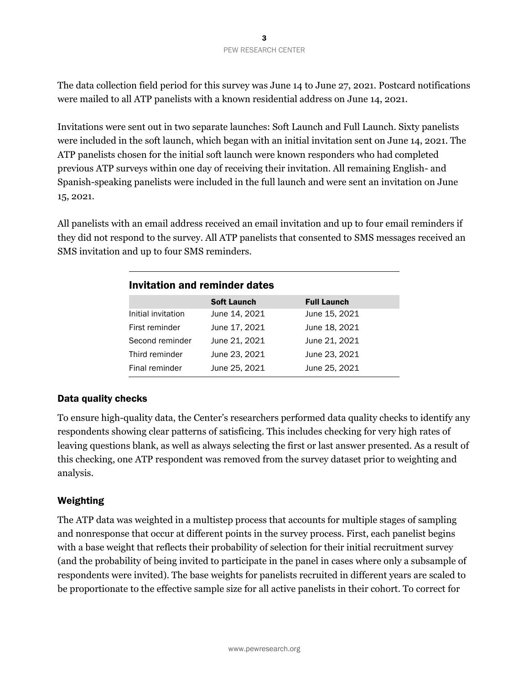The data collection field period for this survey was June 14 to June 27, 2021. Postcard notifications were mailed to all ATP panelists with a known residential address on June 14, 2021.

Invitations were sent out in two separate launches: Soft Launch and Full Launch. Sixty panelists were included in the soft launch, which began with an initial invitation sent on June 14, 2021. The ATP panelists chosen for the initial soft launch were known responders who had completed previous ATP surveys within one day of receiving their invitation. All remaining English- and Spanish-speaking panelists were included in the full launch and were sent an invitation on June 15, 2021.

All panelists with an email address received an email invitation and up to four email reminders if they did not respond to the survey. All ATP panelists that consented to SMS messages received an SMS invitation and up to four SMS reminders.

| Invitation and reminder dates |                    |                    |  |  |
|-------------------------------|--------------------|--------------------|--|--|
|                               | <b>Soft Launch</b> | <b>Full Launch</b> |  |  |
| Initial invitation            | June 14, 2021      | June 15, 2021      |  |  |
| First reminder                | June 17, 2021      | June 18, 2021      |  |  |
| Second reminder               | June 21, 2021      | June 21, 2021      |  |  |
| Third reminder                | June 23, 2021      | June 23, 2021      |  |  |
| Final reminder                | June 25, 2021      | June 25, 2021      |  |  |

## Data quality checks

To ensure high-quality data, the Center's researchers performed data quality checks to identify any respondents showing clear patterns of satisficing. This includes checking for very high rates of leaving questions blank, as well as always selecting the first or last answer presented. As a result of this checking, one ATP respondent was removed from the survey dataset prior to weighting and analysis.

## Weighting

The ATP data was weighted in a multistep process that accounts for multiple stages of sampling and nonresponse that occur at different points in the survey process. First, each panelist begins with a base weight that reflects their probability of selection for their initial recruitment survey (and the probability of being invited to participate in the panel in cases where only a subsample of respondents were invited). The base weights for panelists recruited in different years are scaled to be proportionate to the effective sample size for all active panelists in their cohort. To correct for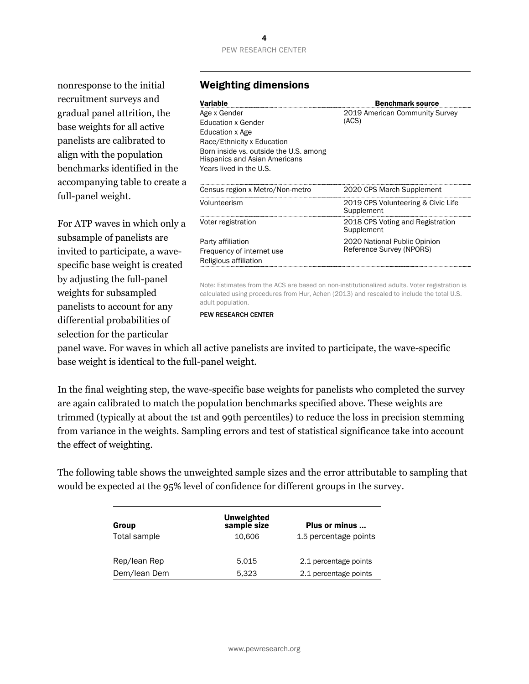## PEW RESEARCH CENTER

nonresponse to the initial recruitment surveys and gradual panel attrition, the base weights for all active panelists are calibrated to align with the population benchmarks identified in the accompanying table to create a full-panel weight.

For ATP waves in which only a subsample of panelists are invited to participate, a wavespecific base weight is created by adjusting the full-panel weights for subsampled panelists to account for any differential probabilities of selection for the particular

#### Weighting dimensions

| Variable                                                                                                                                                                                  | <b>Benchmark source</b>                                  |
|-------------------------------------------------------------------------------------------------------------------------------------------------------------------------------------------|----------------------------------------------------------|
| Age x Gender<br>Education x Gender<br>Education x Age<br>Race/Ethnicity x Education<br>Born inside vs. outside the U.S. among<br>Hispanics and Asian Americans<br>Years lived in the U.S. | 2019 American Community Survey<br>(ACS)                  |
| Census region x Metro/Non-metro                                                                                                                                                           | 2020 CPS March Supplement                                |
| Volunteerism                                                                                                                                                                              | 2019 CPS Volunteering & Civic Life<br>Supplement         |
| Voter registration                                                                                                                                                                        | 2018 CPS Voting and Registration<br>Supplement           |
| Party affiliation<br>Frequency of internet use<br>Religious affiliation                                                                                                                   | 2020 National Public Opinion<br>Reference Survey (NPORS) |
|                                                                                                                                                                                           |                                                          |

Note: Estimates from the ACS are based on non-institutionalized adults. Voter registration is calculated using procedures from Hur, Achen (2013) and rescaled to include the total U.S. adult population.

PEW RESEARCH CENTER

panel wave. For waves in which all active panelists are invited to participate, the wave-specific base weight is identical to the full-panel weight.

In the final weighting step, the wave-specific base weights for panelists who completed the survey are again calibrated to match the population benchmarks specified above. These weights are trimmed (typically at about the 1st and 99th percentiles) to reduce the loss in precision stemming from variance in the weights. Sampling errors and test of statistical significance take into account the effect of weighting.

The following table shows the unweighted sample sizes and the error attributable to sampling that would be expected at the 95% level of confidence for different groups in the survey.

| Group        | <b>Unweighted</b><br>sample size | Plus or minus         |
|--------------|----------------------------------|-----------------------|
| Total sample | 10.606                           | 1.5 percentage points |
| Rep/lean Rep | 5.015                            | 2.1 percentage points |
| Dem/lean Dem | 5.323                            | 2.1 percentage points |

## 4